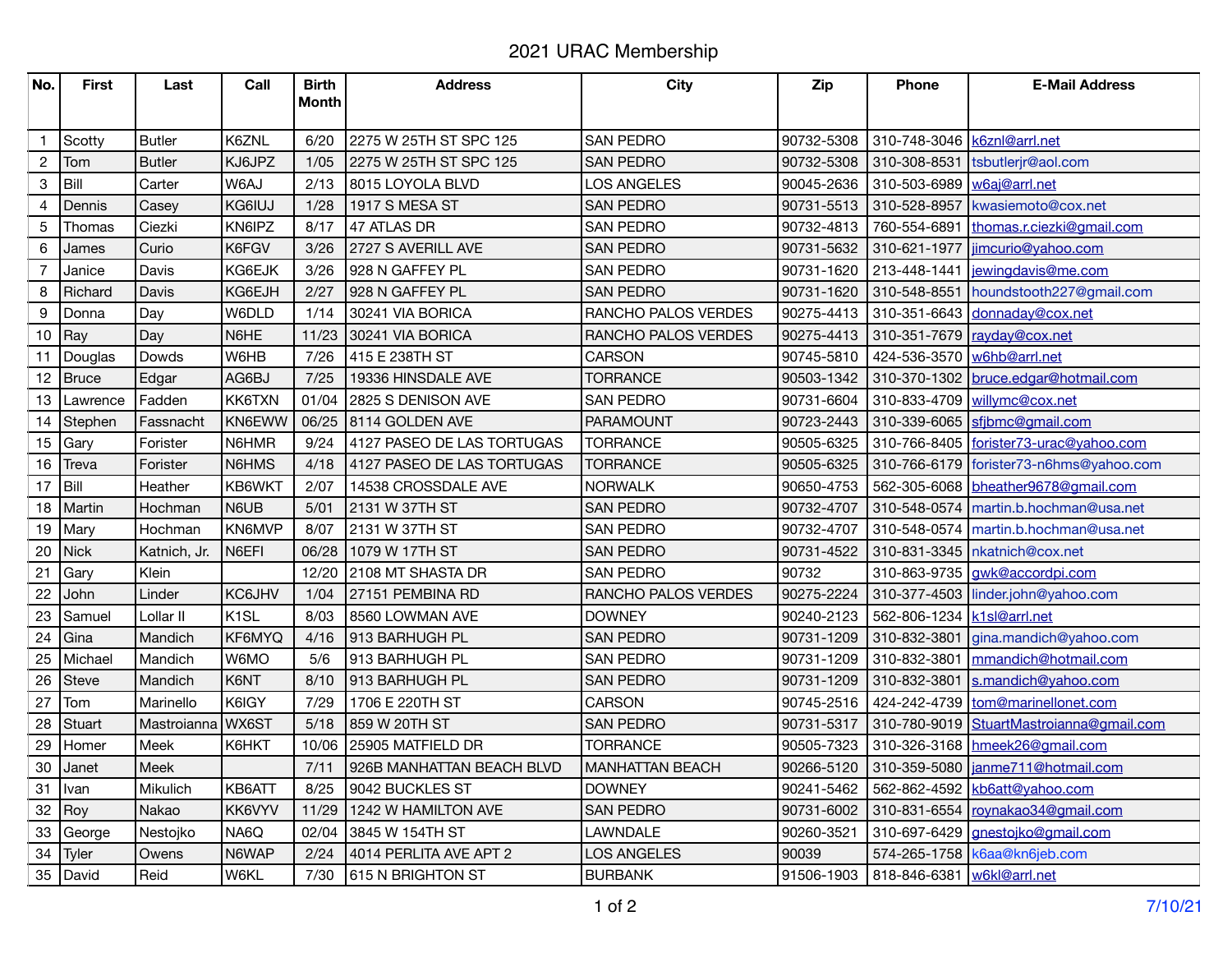## 2021 URAC Membership

| No.                       | <b>First</b> | Last          | Call              | <b>Birth</b> | <b>Address</b>             | <b>City</b>            | <b>Zip</b> | Phone                         | <b>E-Mail Address</b>                    |
|---------------------------|--------------|---------------|-------------------|--------------|----------------------------|------------------------|------------|-------------------------------|------------------------------------------|
|                           |              |               |                   | <b>Month</b> |                            |                        |            |                               |                                          |
|                           |              |               |                   |              |                            |                        |            |                               |                                          |
| $\mathbf{1}$              | Scotty       | <b>Butler</b> | K6ZNL             | 6/20         | 2275 W 25TH ST SPC 125     | <b>SAN PEDRO</b>       | 90732-5308 | 310-748-3046   k6znl@arrl.net |                                          |
| $\overline{c}$            | Tom          | <b>Butler</b> | KJ6JPZ            | 1/05         | 2275 W 25TH ST SPC 125     | <b>SAN PEDRO</b>       | 90732-5308 | 310-308-8531                  | tsbutlerjr@aol.com                       |
| $\ensuremath{\mathsf{3}}$ | Bill         | Carter        | W6AJ              | 2/13         | 8015 LOYOLA BLVD           | LOS ANGELES            | 90045-2636 | 310-503-6989                  | w6aj@arrl.net                            |
| 4                         | Dennis       | Casey         | KG6IUJ            | 1/28         | 1917 S MESA ST             | <b>SAN PEDRO</b>       | 90731-5513 | 310-528-8957                  | kwasiemoto@cox.net                       |
| 5                         | Thomas       | Ciezki        | KN6IPZ            | 8/17         | 47 ATLAS DR                | <b>SAN PEDRO</b>       | 90732-4813 | 760-554-6891                  | thomas.r.ciezki@gmail.com                |
| 6                         | James        | Curio         | K6FGV             | 3/26         | 2727 S AVERILL AVE         | <b>SAN PEDRO</b>       | 90731-5632 | 310-621-1977                  | jimcurio@yahoo.com                       |
| $\overline{7}$            | Janice       | Davis         | KG6EJK            | 3/26         | 928 N GAFFEY PL            | <b>SAN PEDRO</b>       | 90731-1620 | 213-448-1441                  | jewingdavis@me.com                       |
| 8                         | Richard      | Davis         | KG6EJH            | 2/27         | 928 N GAFFEY PL            | <b>SAN PEDRO</b>       | 90731-1620 | 310-548-8551                  | houndstooth227@gmail.com                 |
| 9                         | Donna        | Day           | W6DLD             | 1/14         | 30241 VIA BORICA           | RANCHO PALOS VERDES    | 90275-4413 | 310-351-6643                  | donnaday@cox.net                         |
| 10                        | Ray          | Day           | N6HE              | 11/23        | 30241 VIA BORICA           | RANCHO PALOS VERDES    | 90275-4413 | 310-351-7679                  | rayday@cox.net                           |
| 11                        | Douglas      | Dowds         | W6HB              | 7/26         | 415 E 238TH ST             | CARSON                 | 90745-5810 | 424-536-3570                  | w6hb@arrl.net                            |
| 12                        | Bruce        | Edgar         | AG6BJ             | 7/25         | 19336 HINSDALE AVE         | <b>TORRANCE</b>        | 90503-1342 | 310-370-1302                  | bruce.edgar@hotmail.com                  |
| 13                        | Lawrence     | Fadden        | KK6TXN            | 01/04        | 2825 S DENISON AVE         | <b>SAN PEDRO</b>       | 90731-6604 | 310-833-4709                  | willymc@cox.net                          |
|                           | 14 Stephen   | Fassnacht     | KN6EWW            | 06/25        | 8114 GOLDEN AVE            | <b>PARAMOUNT</b>       | 90723-2443 | 310-339-6065                  | sfjbmc@gmail.com                         |
|                           | 15 $Gary$    | Forister      | N6HMR             | 9/24         | 4127 PASEO DE LAS TORTUGAS | <b>TORRANCE</b>        | 90505-6325 |                               | 310-766-8405 forister73-urac@yahoo.com   |
|                           | 16 Treva     | Forister      | N6HMS             | 4/18         | 4127 PASEO DE LAS TORTUGAS | <b>TORRANCE</b>        | 90505-6325 |                               | 310-766-6179 forister73-n6hms@yahoo.com  |
| 17                        | Bill         | Heather       | KB6WKT            | 2/07         | 14538 CROSSDALE AVE        | <b>NORWALK</b>         | 90650-4753 |                               | 562-305-6068 bheather9678@gmail.com      |
|                           | 18   Martin  | Hochman       | N6UB              | 5/01         | 2131 W 37TH ST             | <b>SAN PEDRO</b>       | 90732-4707 |                               | 310-548-0574 martin.b.hochman@usa.net    |
|                           | 19 $Mary$    | Hochman       | KN6MVP            | 8/07         | 2131 W 37TH ST             | <b>SAN PEDRO</b>       | 90732-4707 |                               | 310-548-0574   martin.b.hochman@usa.net  |
| 20                        | Nick         | Katnich, Jr.  | N6EFI             | 06/28        | 1079 W 17TH ST             | <b>SAN PEDRO</b>       | 90731-4522 |                               | 310-831-3345   nkatnich@cox.net          |
| 21                        | Gary         | Klein         |                   | 12/20        | 2108 MT SHASTA DR          | <b>SAN PEDRO</b>       | 90732      |                               | 310-863-9735   gwk@accordpi.com          |
| 22                        | John         | Linder        | KC6JHV            | 1/04         | 27151 PEMBINA RD           | RANCHO PALOS VERDES    | 90275-2224 |                               | 310-377-4503 linder.john@yahoo.com       |
| 23                        | Samuel       | Lollar II     | K <sub>1</sub> SL | 8/03         | 8560 LOWMAN AVE            | <b>DOWNEY</b>          | 90240-2123 | 562-806-1234   k1sl@arrl.net  |                                          |
| 24                        | Gina         | Mandich       | KF6MYQ            | 4/16         | 913 BARHUGH PL             | <b>SAN PEDRO</b>       | 90731-1209 |                               | 310-832-3801 gina.mandich@yahoo.com      |
| 25                        | Michael      | Mandich       | W6MO              | 5/6          | 913 BARHUGH PL             | <b>SAN PEDRO</b>       | 90731-1209 | 310-832-3801                  | mmandich@hotmail.com                     |
| 26                        | <b>Steve</b> | Mandich       | K6NT              | 8/10         | 913 BARHUGH PL             | <b>SAN PEDRO</b>       | 90731-1209 | 310-832-3801                  | s.mandich@yahoo.com                      |
| 27                        | Tom          | Marinello     | K6IGY             | 7/29         | 1706 E 220TH ST            | <b>CARSON</b>          | 90745-2516 |                               | 424-242-4739 tom@marinellonet.com        |
| 28                        | Stuart       | Mastroianna   | WX6ST             | 5/18         | 859 W 20TH ST              | <b>SAN PEDRO</b>       | 90731-5317 |                               | 310-780-9019 StuartMastroianna@gmail.com |
| 29                        | Homer        | Meek          | K6HKT             | 10/06        | 25905 MATFIELD DR          | <b>TORRANCE</b>        | 90505-7323 |                               | 310-326-3168 hmeek26@gmail.com           |
| 30                        | Janet        | Meek          |                   | 7/11         | 926B MANHATTAN BEACH BLVD  | <b>MANHATTAN BEACH</b> | 90266-5120 |                               | 310-359-5080   janme711@hotmail.com      |
| 31                        | I Ivan       | Mikulich      | KB6ATT            | 8/25         | 9042 BUCKLES ST            | <b>DOWNEY</b>          | 90241-5462 |                               | 562-862-4592   kb6att@yahoo.com          |
| $32$ Roy                  |              | Nakao         | KK6VYV            | 11/29        | 1242 W HAMILTON AVE        | <b>SAN PEDRO</b>       | 90731-6002 |                               | 310-831-6554 roynakao34@gmail.com        |
|                           | 33 George    | Nestojko      | NA6Q              | 02/04        | 3845 W 154TH ST            | LAWNDALE               | 90260-3521 | 310-697-6429                  | gnestojko@gmail.com                      |
| 34                        | Tyler        | Owens         | N6WAP             | 2/24         | 4014 PERLITA AVE APT 2     | <b>LOS ANGELES</b>     | 90039      |                               | 574-265-1758   k6aa@kn6jeb.com           |
|                           | 35 David     | Reid          | W6KL              | 7/30         | 615 N BRIGHTON ST          | <b>BURBANK</b>         | 91506-1903 | 818-846-6381   w6kl@arrl.net  |                                          |